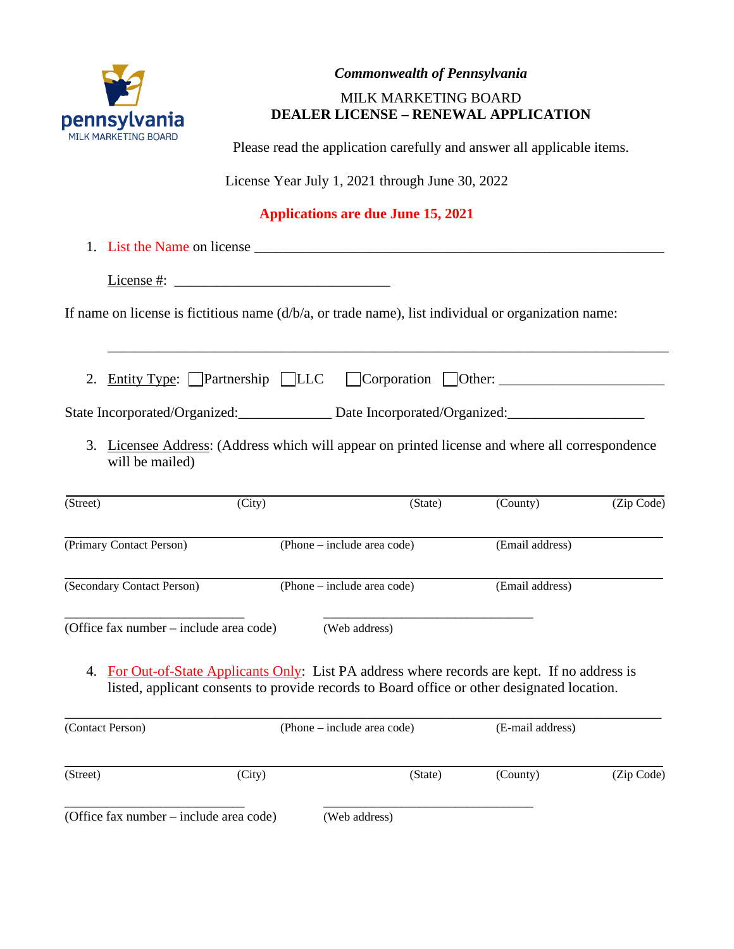

# *Commonwealth of Pennsylvania* MILK MARKETING BOARD

# **DEALER LICENSE – RENEWAL APPLICATION**

Please read the application carefully and answer all applicable items.

License Year July 1, 2021 through June 30, 2022

# **Applications are due June 15, 2021**

|          | License #:                                                                                                                                                                                   |        |                                                             |                  |            |
|----------|----------------------------------------------------------------------------------------------------------------------------------------------------------------------------------------------|--------|-------------------------------------------------------------|------------------|------------|
|          | If name on license is fictitious name $(d/b/a)$ , or trade name), list individual or organization name:                                                                                      |        |                                                             |                  |            |
| 2.       | Entity Type: Partnership   LLC                                                                                                                                                               |        | $Corporation$ Other: $\_\_\_\_\_\_\_\_\_\_\_\_\_\_\_\_\_\_$ |                  |            |
|          | State Incorporated/Organized:<br><u>Date Incorporated/Organized:</u>                                                                                                                         |        |                                                             |                  |            |
|          | 3. Licensee Address: (Address which will appear on printed license and where all correspondence<br>will be mailed)                                                                           |        |                                                             |                  |            |
| (Street) |                                                                                                                                                                                              | (City) | (State)                                                     | (County)         | (Zip Code) |
|          | (Primary Contact Person)                                                                                                                                                                     |        | (Phone – include area code)                                 | (Email address)  |            |
|          | (Secondary Contact Person)                                                                                                                                                                   |        | (Phone – include area code)                                 | (Email address)  |            |
|          | (Office fax number – include area code)                                                                                                                                                      |        | (Web address)                                               |                  |            |
|          | 4. For Out-of-State Applicants Only: List PA address where records are kept. If no address is<br>listed, applicant consents to provide records to Board office or other designated location. |        |                                                             |                  |            |
|          | (Contact Person)                                                                                                                                                                             |        | (Phone – include area code)                                 | (E-mail address) |            |

|                                | ___________________________ |
|--------------------------------|-----------------------------|
| $\epsilon$<br>7<br>_<br>.<br>. | .                           |

(Web address)

(Street) (Street) (City) (State) (County) (Zip Code)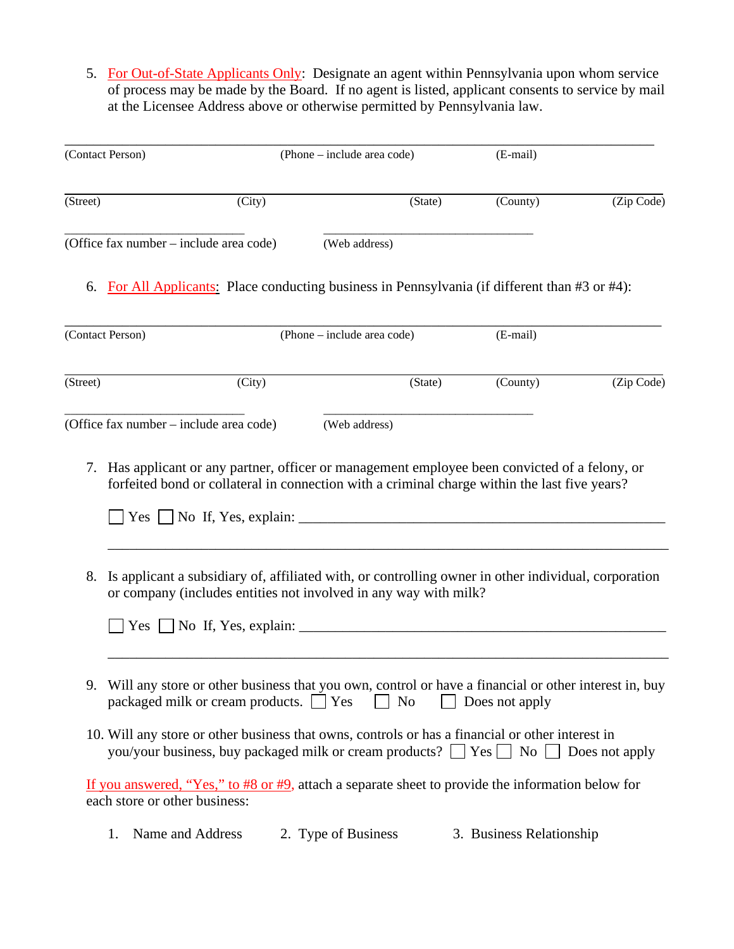5. For Out-of-State Applicants Only: Designate an agent within Pennsylvania upon whom service of process may be made by the Board. If no agent is listed, applicant consents to service by mail at the Licensee Address above or otherwise permitted by Pennsylvania law.

|          | (Contact Person)                                                                                                                                                                                                     | (Phone – include area code) |         | (E-mail)                 |            |
|----------|----------------------------------------------------------------------------------------------------------------------------------------------------------------------------------------------------------------------|-----------------------------|---------|--------------------------|------------|
| (Street) | (City)                                                                                                                                                                                                               |                             | (State) | (County)                 | (Zip Code) |
|          | (Office fax number – include area code)                                                                                                                                                                              | (Web address)               |         |                          |            |
|          | 6. For All Applicants: Place conducting business in Pennsylvania (if different than #3 or #4):                                                                                                                       |                             |         |                          |            |
|          | (Contact Person)                                                                                                                                                                                                     | (Phone – include area code) |         | (E-mail)                 |            |
| (Street) | (City)                                                                                                                                                                                                               |                             | (State) | (County)                 | (Zip Code) |
|          | (Office fax number – include area code)                                                                                                                                                                              | (Web address)               |         |                          |            |
|          | forfeited bond or collateral in connection with a criminal charge within the last five years?                                                                                                                        |                             |         |                          |            |
| 8.       | Is applicant a subsidiary of, affiliated with, or controlling owner in other individual, corporation<br>or company (includes entities not involved in any way with milk?<br>$Yes \perp No$ If, Yes, explain: $\perp$ |                             |         |                          |            |
|          | 9. Will any store or other business that you own, control or have a financial or other interest in, buy<br>packaged milk or cream products. $\Box$ Yes                                                               | N <sub>0</sub>              |         | Does not apply           |            |
|          | 10. Will any store or other business that owns, controls or has a financial or other interest in<br>you/your business, buy packaged milk or cream products? $\Box$ Yes $\Box$ No $\Box$ Does not apply               |                             |         |                          |            |
|          | If you answered, "Yes," to #8 or #9, attach a separate sheet to provide the information below for<br>each store or other business:                                                                                   |                             |         |                          |            |
|          | Name and Address<br>1.                                                                                                                                                                                               | 2. Type of Business         |         | 3. Business Relationship |            |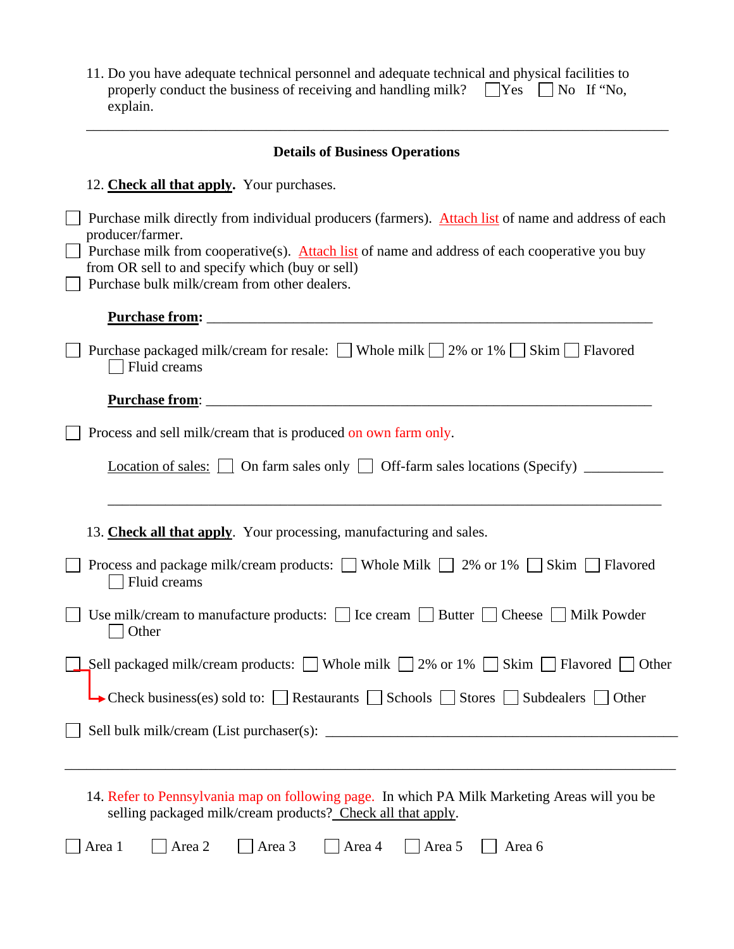| 11. Do you have adequate technical personnel and adequate technical and physical facilities to |  |  |
|------------------------------------------------------------------------------------------------|--|--|
| properly conduct the business of receiving and handling milk? $\Box$ Yes $\Box$ No If "No.     |  |  |
| explain.                                                                                       |  |  |
|                                                                                                |  |  |

\_\_\_\_\_\_\_\_\_\_\_\_\_\_\_\_\_\_\_\_\_\_\_\_\_\_\_\_\_\_\_\_\_\_\_\_\_\_\_\_\_\_\_\_\_\_\_\_\_\_\_\_\_\_\_\_\_\_\_\_\_\_\_\_\_\_\_\_\_\_\_\_\_\_\_\_\_\_\_\_\_

| <b>Details of Business Operations</b>                                                                                                                                                                                                                                                                                        |
|------------------------------------------------------------------------------------------------------------------------------------------------------------------------------------------------------------------------------------------------------------------------------------------------------------------------------|
| 12. Check all that apply. Your purchases.                                                                                                                                                                                                                                                                                    |
| Purchase milk directly from individual producers (farmers). Attach list of name and address of each<br>producer/farmer.<br>Purchase milk from cooperative(s). Attach list of name and address of each cooperative you buy<br>from OR sell to and specify which (buy or sell)<br>Purchase bulk milk/cream from other dealers. |
|                                                                                                                                                                                                                                                                                                                              |
| Purchase packaged milk/cream for resale: Whole milk 2% or 1% Skim Flavored<br>Fluid creams                                                                                                                                                                                                                                   |
|                                                                                                                                                                                                                                                                                                                              |
| Process and sell milk/cream that is produced on own farm only.                                                                                                                                                                                                                                                               |
| <b>Location of sales:</b> $\Box$ On farm sales only $\Box$ Off-farm sales locations (Specify) $\Box$                                                                                                                                                                                                                         |
| 13. Check all that apply. Your processing, manufacturing and sales.<br>Process and package milk/cream products: $\Box$ Whole Milk $\Box$ 2% or 1% $\Box$ Skim $\Box$ Flavored<br>Fluid creams                                                                                                                                |
| Use milk/cream to manufacture products: $\Box$ Ice cream $\Box$ Butter $\Box$ Cheese $\Box$ Milk Powder<br>Other                                                                                                                                                                                                             |
| Sell packaged milk/cream products: $\Box$ Whole milk $\Box$ 2% or 1% $\Box$ Skim $\Box$ Flavored $\Box$<br>Other                                                                                                                                                                                                             |
| • Check business(es) sold to: Restaurants Schools Stores Subdealers $\Box$<br>Other                                                                                                                                                                                                                                          |
|                                                                                                                                                                                                                                                                                                                              |
|                                                                                                                                                                                                                                                                                                                              |
| 14. Refer to Pennsylvania map on following page. In which PA Milk Marketing Areas will you be<br>selling packaged milk/cream products? Check all that apply.                                                                                                                                                                 |
| Area 2<br>Area 3<br>Area 1<br>Area 4<br>Area 5<br>Area 6                                                                                                                                                                                                                                                                     |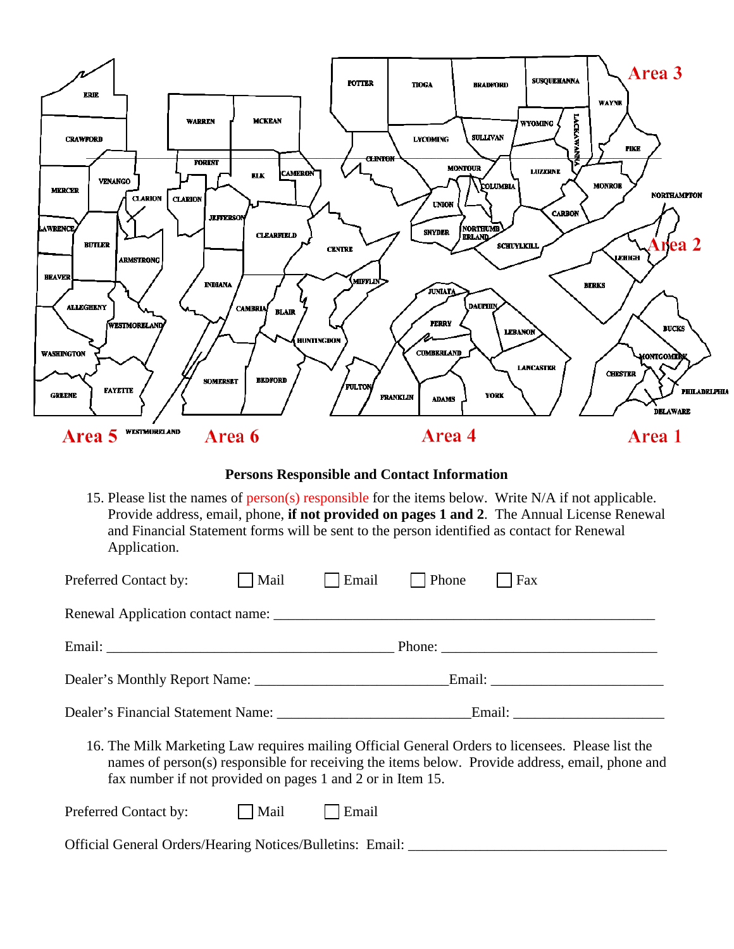

**Persons Responsible and Contact Information**

15. Please list the names of person(s) responsible for the items below. Write N/A if not applicable. Provide address, email, phone, **if not provided on pages 1 and 2**. The Annual License Renewal and Financial Statement forms will be sent to the person identified as contact for Renewal Application.

| Preferred Contact by:                                      | Mail | Email | Phone | Fax                                                                                                                                                                                                  |
|------------------------------------------------------------|------|-------|-------|------------------------------------------------------------------------------------------------------------------------------------------------------------------------------------------------------|
| Renewal Application contact name:                          |      |       |       |                                                                                                                                                                                                      |
|                                                            |      |       |       |                                                                                                                                                                                                      |
|                                                            |      |       |       |                                                                                                                                                                                                      |
|                                                            |      |       |       |                                                                                                                                                                                                      |
| fax number if not provided on pages 1 and 2 or in Item 15. |      |       |       | 16. The Milk Marketing Law requires mailing Official General Orders to licensees. Please list the<br>names of person(s) responsible for receiving the items below. Provide address, email, phone and |
| Preferred Contact by:                                      | Mail | Email |       |                                                                                                                                                                                                      |

Official General Orders/Hearing Notices/Bulletins: Email: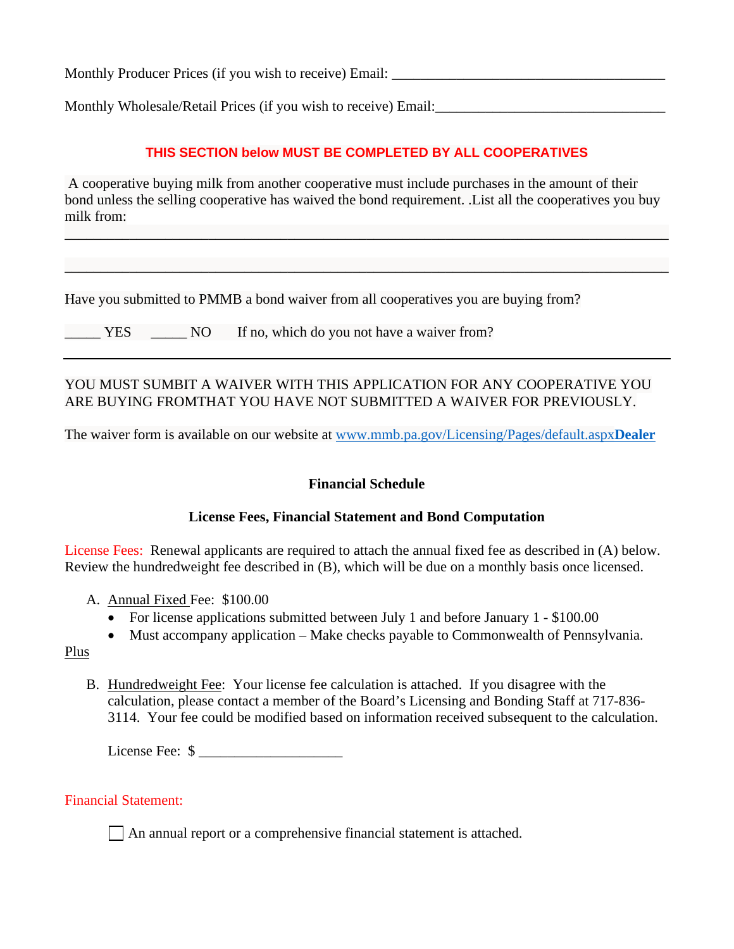Monthly Producer Prices (if you wish to receive) Email:

Monthly Wholesale/Retail Prices (if you wish to receive) Email:

### **THIS SECTION below MUST BE COMPLETED BY ALL COOPERATIVES**

A cooperative buying milk from another cooperative must include purchases in the amount of their bond unless the selling cooperative has waived the bond requirement. .List all the cooperatives you buy milk from:

\_\_\_\_\_\_\_\_\_\_\_\_\_\_\_\_\_\_\_\_\_\_\_\_\_\_\_\_\_\_\_\_\_\_\_\_\_\_\_\_\_\_\_\_\_\_\_\_\_\_\_\_\_\_\_\_\_\_\_\_\_\_\_\_\_\_\_\_\_\_\_\_\_\_\_\_\_\_\_\_\_\_\_\_

\_\_\_\_\_\_\_\_\_\_\_\_\_\_\_\_\_\_\_\_\_\_\_\_\_\_\_\_\_\_\_\_\_\_\_\_\_\_\_\_\_\_\_\_\_\_\_\_\_\_\_\_\_\_\_\_\_\_\_\_\_\_\_\_\_\_\_\_\_\_\_\_\_\_\_\_\_\_\_\_\_\_\_\_

Have you submitted to PMMB a bond waiver from all cooperatives you are buying from?

| YES. |  | NO If no, which do you not have a waiver from? |  |
|------|--|------------------------------------------------|--|
|------|--|------------------------------------------------|--|

### YOU MUST SUMBIT A WAIVER WITH THIS APPLICATION FOR ANY COOPERATIVE YOU ARE BUYING FROMTHAT YOU HAVE NOT SUBMITTED A WAIVER FOR PREVIOUSLY.

The waiver form is available on our website at [www.mmb.pa.gov/Licensing/Pages/default.aspx](http://www.mmb.pa.gov/Licensing/Pages/default.aspxDealer)**Dealer**

#### **Financial Schedule**

#### **License Fees, Financial Statement and Bond Computation**

License Fees: Renewal applicants are required to attach the annual fixed fee as described in (A) below. Review the hundredweight fee described in (B), which will be due on a monthly basis once licensed.

- A. Annual Fixed Fee: \$100.00
	- For license applications submitted between July 1 and before January 1 \$100.00
	- Must accompany application Make checks payable to Commonwealth of Pennsylvania.

#### Plus

B. Hundredweight Fee: Your license fee calculation is attached. If you disagree with the calculation, please contact a member of the Board's Licensing and Bonding Staff at 717-836- 3114. Your fee could be modified based on information received subsequent to the calculation.

License Fee: \$ \_\_\_\_\_\_\_\_\_\_\_\_\_\_\_\_\_\_\_\_

#### Financial Statement:

 $\Box$  An annual report or a comprehensive financial statement is attached.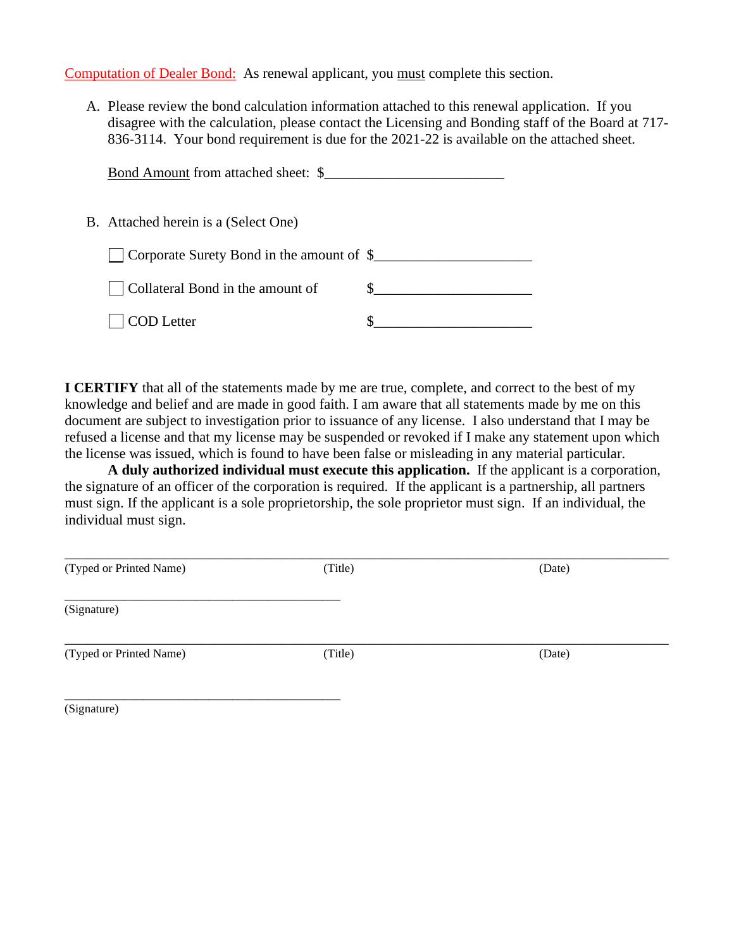Computation of Dealer Bond: As renewal applicant, you must complete this section.

A. Please review the bond calculation information attached to this renewal application. If you disagree with the calculation, please contact the Licensing and Bonding staff of the Board at 717- 836-3114. Your bond requirement is due for the 2021-22 is available on the attached sheet.

| Bond Amount from attached sheet: \$                          |  |
|--------------------------------------------------------------|--|
| B. Attached herein is a (Select One)                         |  |
| $\vert$ Corporate Surety Bond in the amount of $\frac{1}{2}$ |  |
| Collateral Bond in the amount of                             |  |
| <b>COD</b> Letter                                            |  |

**I CERTIFY** that all of the statements made by me are true, complete, and correct to the best of my knowledge and belief and are made in good faith. I am aware that all statements made by me on this document are subject to investigation prior to issuance of any license. I also understand that I may be refused a license and that my license may be suspended or revoked if I make any statement upon which the license was issued, which is found to have been false or misleading in any material particular.

**A duly authorized individual must execute this application.** If the applicant is a corporation, the signature of an officer of the corporation is required. If the applicant is a partnership, all partners must sign. If the applicant is a sole proprietorship, the sole proprietor must sign. If an individual, the individual must sign.

| (Typed or Printed Name) | (Title) | (Date) |  |
|-------------------------|---------|--------|--|
| (Signature)             |         |        |  |
| (Typed or Printed Name) | (Title) | (Date) |  |
|                         |         |        |  |

(Signature)